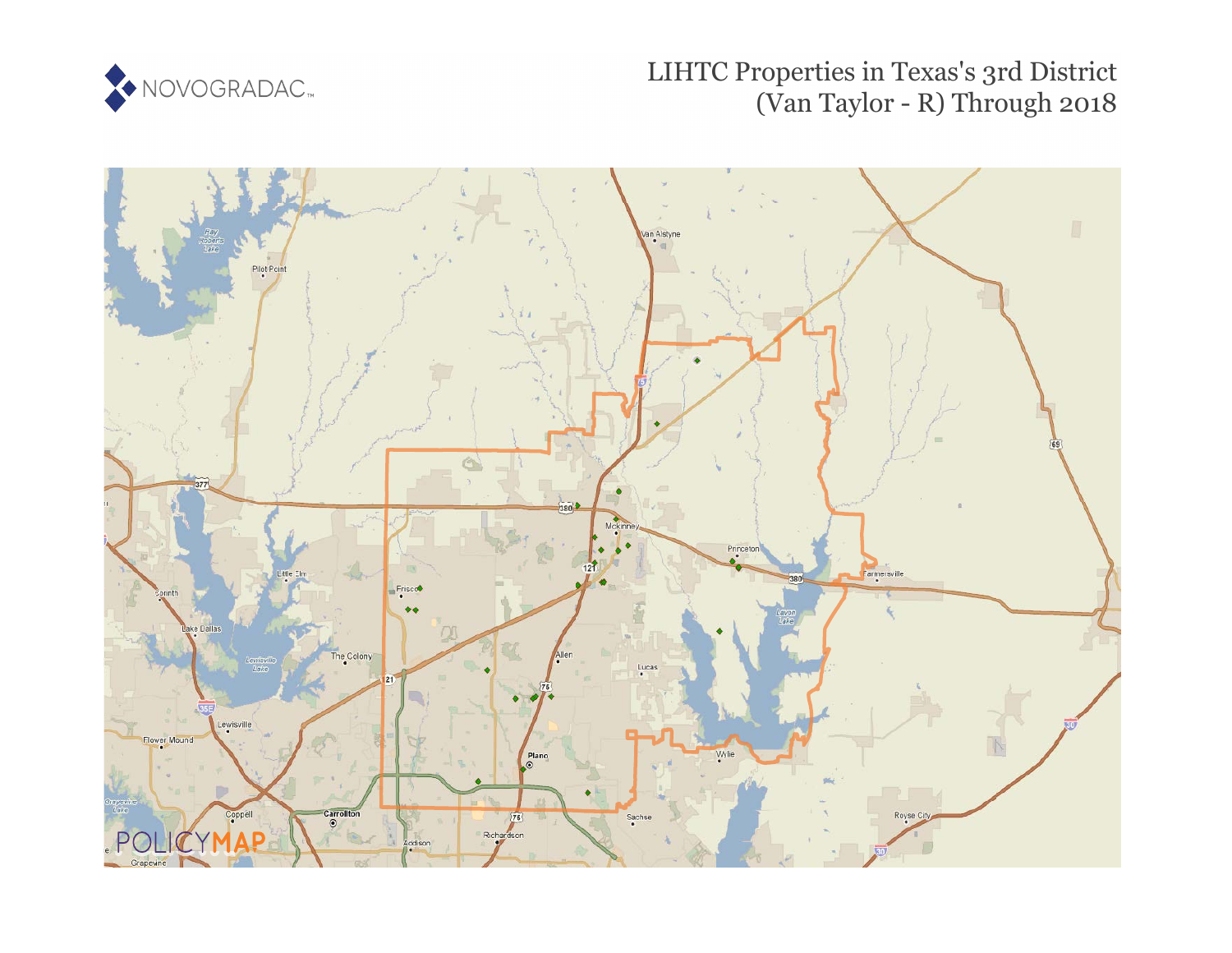

## LIHTC Properties in Texas's 3rd District (Van Taylor - R) Through 2018

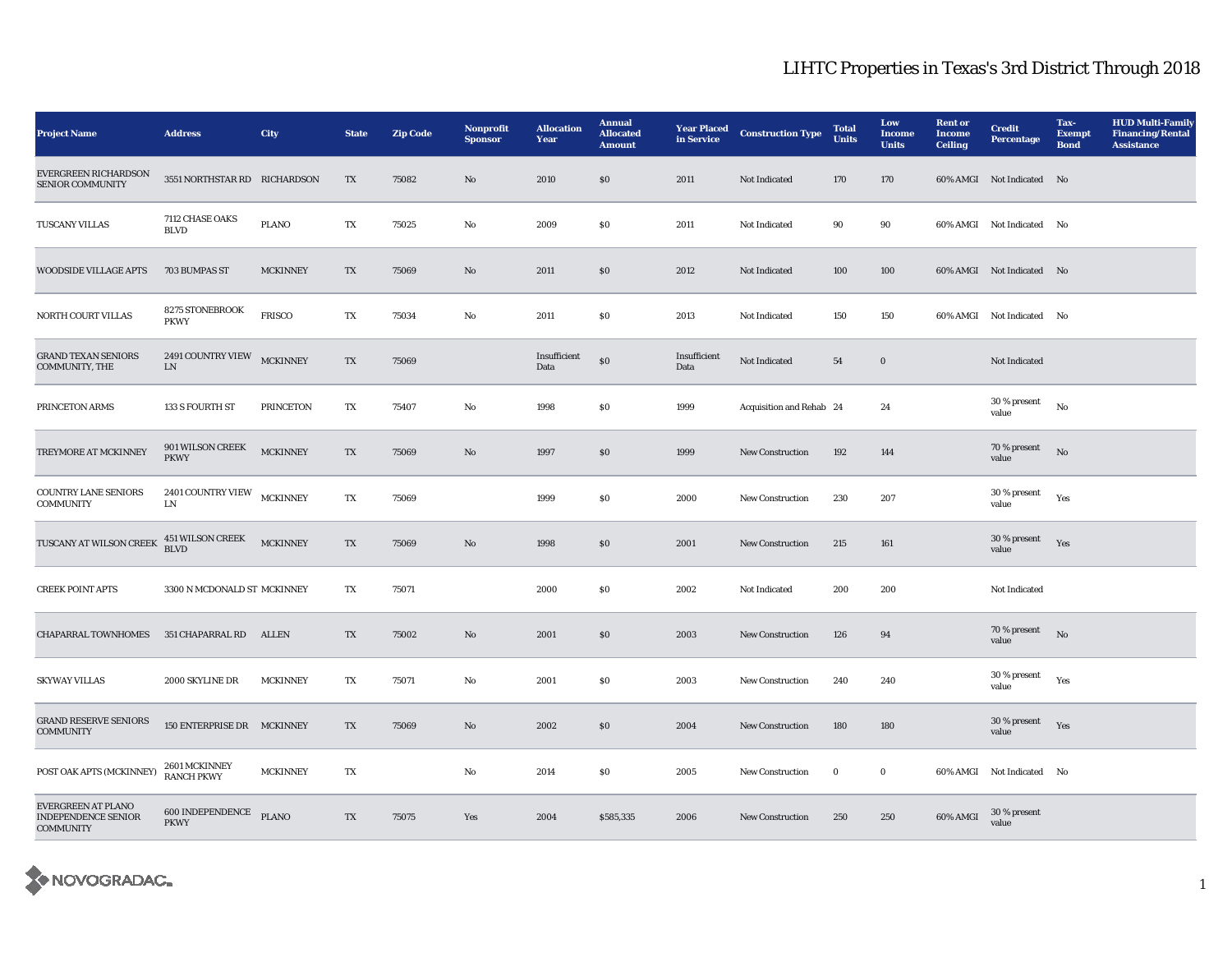## LIHTC Properties in Texas's 3rd District Through 2018

| <b>Project Name</b>                                                  | <b>Address</b>                     | City             | <b>State</b> | <b>Zip Code</b> | Nonprofit<br><b>Sponsor</b> | <b>Allocation</b><br>Year | <b>Annual</b><br><b>Allocated</b><br><b>Amount</b> | <b>Year Placed</b><br>in Service | <b>Construction Type</b> | <b>Total</b><br><b>Units</b> | Low<br><b>Income</b><br><b>Units</b> | <b>Rent or</b><br><b>Income</b><br><b>Ceiling</b> | <b>Credit</b><br><b>Percentage</b> | Tax-<br><b>Exempt</b><br><b>Bond</b> | <b>HUD Multi-Family</b><br><b>Financing/Rental</b><br><b>Assistance</b> |
|----------------------------------------------------------------------|------------------------------------|------------------|--------------|-----------------|-----------------------------|---------------------------|----------------------------------------------------|----------------------------------|--------------------------|------------------------------|--------------------------------------|---------------------------------------------------|------------------------------------|--------------------------------------|-------------------------------------------------------------------------|
| EVERGREEN RICHARDSON<br><b>SENIOR COMMUNITY</b>                      | 3551 NORTHSTAR RD RICHARDSON       |                  | TX           | 75082           | No                          | 2010                      | \$0                                                | 2011                             | Not Indicated            | 170                          | 170                                  |                                                   | 60% AMGI Not Indicated No          |                                      |                                                                         |
| <b>TUSCANY VILLAS</b>                                                | 7112 CHASE OAKS<br><b>BLVD</b>     | <b>PLANO</b>     | TX           | 75025           | No                          | 2009                      | $\$0$                                              | 2011                             | Not Indicated            | 90                           | 90                                   |                                                   | 60% AMGI Not Indicated No          |                                      |                                                                         |
| <b>WOODSIDE VILLAGE APTS</b>                                         | 703 BUMPAS ST                      | <b>MCKINNEY</b>  | TX           | 75069           | $\mathbf{N}\mathbf{o}$      | 2011                      | \$0\$                                              | 2012                             | Not Indicated            | 100                          | 100                                  |                                                   | 60% AMGI Not Indicated No          |                                      |                                                                         |
| <b>NORTH COURT VILLAS</b>                                            | 8275 STONEBROOK<br><b>PKWY</b>     | <b>FRISCO</b>    | TX           | 75034           | No                          | 2011                      | $\$0$                                              | 2013                             | Not Indicated            | 150                          | 150                                  |                                                   | 60% AMGI Not Indicated No          |                                      |                                                                         |
| <b>GRAND TEXAN SENIORS</b><br><b>COMMUNITY, THE</b>                  | 2491 COUNTRY VIEW<br>${\rm LN}$    | <b>MCKINNEY</b>  | TX           | 75069           |                             | Insufficient<br>Data      | $\$0$                                              | Insufficient<br>Data             | Not Indicated            | 54                           | $\bf{0}$                             |                                                   | Not Indicated                      |                                      |                                                                         |
| PRINCETON ARMS                                                       | 133 S FOURTH ST                    | <b>PRINCETON</b> | TX           | 75407           | No                          | 1998                      | $\$0$                                              | 1999                             | Acquisition and Rehab 24 |                              | 24                                   |                                                   | 30 % present<br>value              | No                                   |                                                                         |
| TREYMORE AT MCKINNEY                                                 | 901 WILSON CREEK<br><b>PKWY</b>    | <b>MCKINNEY</b>  | TX           | 75069           | $\mathbf{N}\mathbf{o}$      | 1997                      | $\$0$                                              | 1999                             | New Construction         | 192                          | 144                                  |                                                   | 70 % present<br>value              | No                                   |                                                                         |
| <b>COUNTRY LANE SENIORS</b><br><b>COMMUNITY</b>                      | 2401 COUNTRY VIEW<br>LN            | <b>MCKINNEY</b>  | TX           | 75069           |                             | 1999                      | $\$0$                                              | 2000                             | New Construction         | 230                          | 207                                  |                                                   | 30 % present<br>value              | Yes                                  |                                                                         |
| TUSCANY AT WILSON CREEK                                              | 451 WILSON CREEK<br>BLVD           | <b>MCKINNEY</b>  | TX           | 75069           | $\mathbf{N}\mathbf{o}$      | 1998                      | \$0                                                | 2001                             | <b>New Construction</b>  | 215                          | 161                                  |                                                   | 30 % present<br>value              | Yes                                  |                                                                         |
| <b>CREEK POINT APTS</b>                                              | 3300 N MCDONALD ST MCKINNEY        |                  | TX           | 75071           |                             | 2000                      | S <sub>0</sub>                                     | 2002                             | Not Indicated            | 200                          | 200                                  |                                                   | <b>Not Indicated</b>               |                                      |                                                                         |
| <b>CHAPARRAL TOWNHOMES</b>                                           | 351 CHAPARRAL RD                   | <b>ALLEN</b>     | TX           | 75002           | $\mathbf{N}\mathbf{o}$      | 2001                      | $\$0$                                              | 2003                             | New Construction         | 126                          | 94                                   |                                                   | 70 % present<br>value              | $\rm No$                             |                                                                         |
| <b>SKYWAY VILLAS</b>                                                 | 2000 SKYLINE DR                    | <b>MCKINNEY</b>  | TX           | 75071           | No                          | 2001                      | $\$0$                                              | 2003                             | New Construction         | 240                          | 240                                  |                                                   | 30 % present<br>value              | Yes                                  |                                                                         |
| <b>GRAND RESERVE SENIORS</b><br><b>COMMUNITY</b>                     | 150 ENTERPRISE DR MCKINNEY         |                  | TX           | 75069           | $\mathbf{N}\mathbf{o}$      | 2002                      | \$0                                                | 2004                             | <b>New Construction</b>  | 180                          | 180                                  |                                                   | 30 % present<br>value              | Yes                                  |                                                                         |
| POST OAK APTS (MCKINNEY)                                             | 2601 MCKINNEY<br><b>RANCH PKWY</b> | <b>MCKINNEY</b>  | TX           |                 | No                          | 2014                      | \$0\$                                              | 2005                             | <b>New Construction</b>  | $\bf{0}$                     | $\bf{0}$                             |                                                   | 60% AMGI Not Indicated No          |                                      |                                                                         |
| EVERGREEN AT PLANO<br><b>INDEPENDENCE SENIOR</b><br><b>COMMUNITY</b> | 600 INDEPENDENCE<br><b>PKWY</b>    | <b>PLANO</b>     | TX           | 75075           | Yes                         | 2004                      | \$585,335                                          | 2006                             | <b>New Construction</b>  | 250                          | 250                                  | 60% AMGI                                          | 30 % present<br>value              |                                      |                                                                         |

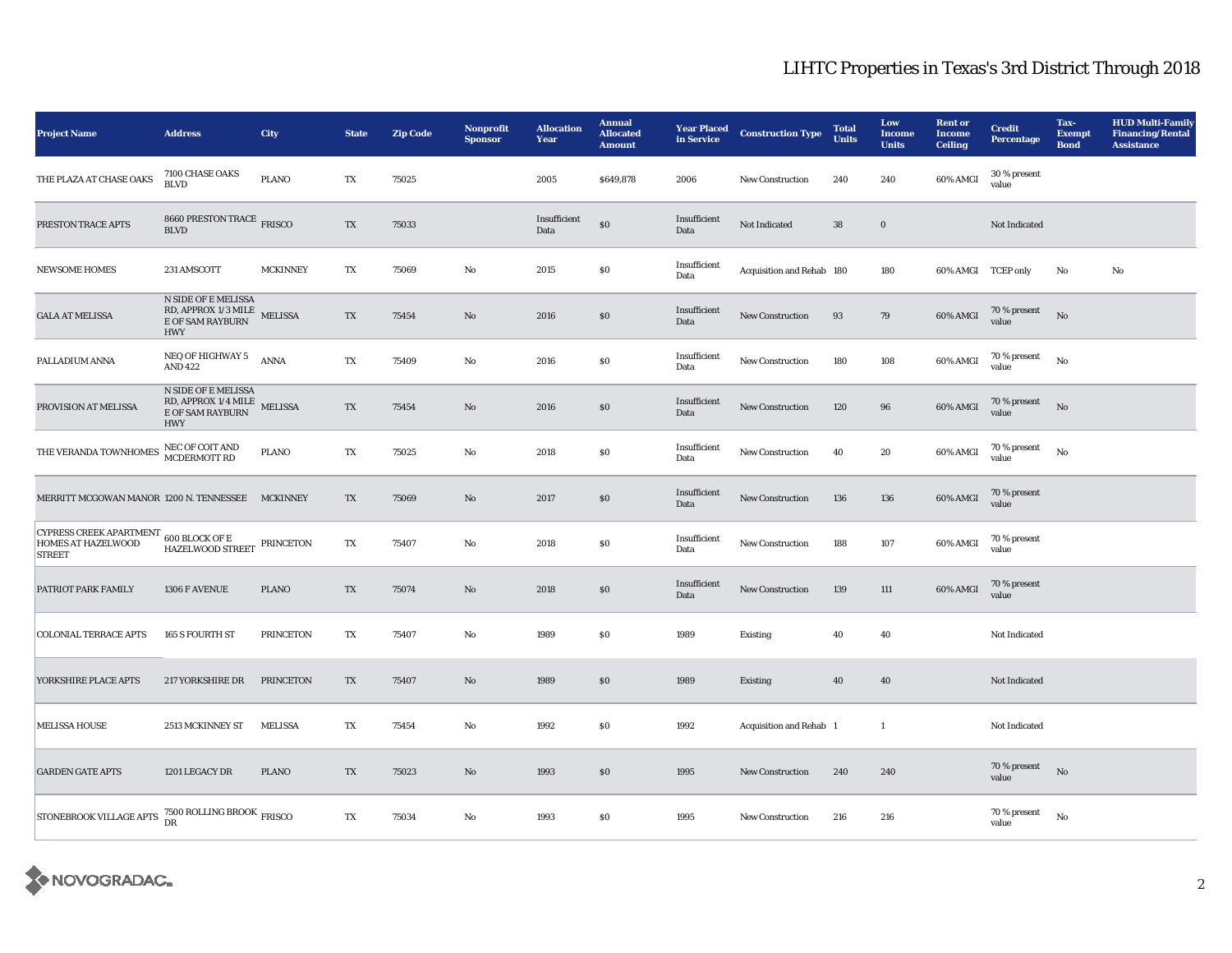## LIHTC Properties in Texas's 3rd District Through 2018

| <b>Project Name</b>                                                                                                                                                | <b>Address</b>                                                                           | <b>City</b>      | <b>State</b>           | <b>Zip Code</b> | <b>Nonprofit</b><br><b>Sponsor</b> | <b>Allocation</b><br>Year | <b>Annual</b><br><b>Allocated</b><br><b>Amount</b> | <b>Year Placed</b><br>in Service | <b>Construction Type</b>  | <b>Total</b><br><b>Units</b> | Low<br><b>Income</b><br><b>Units</b> | <b>Rent</b> or<br><b>Income</b><br><b>Ceiling</b> | <b>Credit</b><br><b>Percentage</b> | Tax-<br><b>Exempt</b><br><b>Bond</b> | <b>HUD Multi-Family</b><br><b>Financing/Rental</b><br><b>Assistance</b> |
|--------------------------------------------------------------------------------------------------------------------------------------------------------------------|------------------------------------------------------------------------------------------|------------------|------------------------|-----------------|------------------------------------|---------------------------|----------------------------------------------------|----------------------------------|---------------------------|------------------------------|--------------------------------------|---------------------------------------------------|------------------------------------|--------------------------------------|-------------------------------------------------------------------------|
| THE PLAZA AT CHASE OAKS                                                                                                                                            | 7100 CHASE OAKS<br><b>BLVD</b>                                                           | <b>PLANO</b>     | TX                     | 75025           |                                    | 2005                      | \$649,878                                          | 2006                             | New Construction          | 240                          | 240                                  | 60% AMGI                                          | 30 % present<br>value              |                                      |                                                                         |
| PRESTON TRACE APTS                                                                                                                                                 | 8660 PRESTON TRACE FRISCO<br><b>BLVD</b>                                                 |                  | TX                     | 75033           |                                    | Insufficient<br>Data      | \$0                                                | Insufficient<br>Data             | Not Indicated             | 38                           | $\bf{0}$                             |                                                   | Not Indicated                      |                                      |                                                                         |
| <b>NEWSOME HOMES</b>                                                                                                                                               | 231 AMSCOTT                                                                              | <b>MCKINNEY</b>  | TX                     | 75069           | $\rm No$                           | 2015                      | \$0                                                | Insufficient<br>Data             | Acquisition and Rehab 180 |                              | 180                                  | 60% AMGI TCEP only                                |                                    | No                                   | $\rm No$                                                                |
| <b>GALA AT MELISSA</b>                                                                                                                                             | <b>N SIDE OF E MELISSA</b><br>RD, APPROX 1/3 MILE<br>E OF SAM RAYBURN<br><b>HWY</b>      | <b>MELISSA</b>   | TX                     | 75454           | No                                 | 2016                      | $\$0$                                              | Insufficient<br>Data             | <b>New Construction</b>   | 93                           | 79                                   | 60% AMGI                                          | 70 % present<br>value              | No                                   |                                                                         |
| PALLADIUM ANNA                                                                                                                                                     | NEQ OF HIGHWAY 5<br><b>AND 422</b>                                                       | <b>ANNA</b>      | TX                     | 75409           | No                                 | 2016                      | \$0                                                | Insufficient<br>Data             | <b>New Construction</b>   | 180                          | 108                                  | 60% AMGI                                          | 70 % present<br>value              | No                                   |                                                                         |
| PROVISION AT MELISSA                                                                                                                                               | <b>N SIDE OF E MELISSA</b><br>RD, APPROX 1/4 MILE MELISSA E OF SAM RAYBURN<br><b>HWY</b> |                  | $\mathbf{T}\mathbf{X}$ | 75454           | No                                 | 2016                      | $\$0$                                              | Insufficient<br>Data             | New Construction          | 120                          | 96                                   | 60% AMGI                                          | 70 % present<br>value              | No                                   |                                                                         |
| THE VERANDA TOWNHOMES                                                                                                                                              | NEC OF COIT AND MCDERMOTT RD                                                             | <b>PLANO</b>     | TX                     | 75025           | No                                 | 2018                      | \$0                                                | Insufficient<br>Data             | New Construction          | 40                           | 20                                   | 60% AMGI                                          | 70 % present<br>value              | No                                   |                                                                         |
| MERRITT MCGOWAN MANOR 1200 N. TENNESSEE MCKINNEY                                                                                                                   |                                                                                          |                  | TX                     | 75069           | $\rm No$                           | 2017                      | $\$0$                                              | Insufficient<br>Data             | New Construction          | 136                          | 136                                  | 60% AMGI                                          | 70 % present<br>value              |                                      |                                                                         |
| <b>CYPRESS CREEK APARTMENT</b><br><b>HOMES AT HAZELWOOD</b><br><b>STREET</b>                                                                                       | 600 BLOCK OF E<br>HAZELWOOD STREET PRINCETON                                             |                  | TX                     | 75407           | No                                 | 2018                      | \$0                                                | Insufficient<br>Data             | New Construction          | 188                          | 107                                  | 60% AMGI                                          | 70 % present<br>value              |                                      |                                                                         |
| PATRIOT PARK FAMILY                                                                                                                                                | 1306 F AVENUE                                                                            | <b>PLANO</b>     | TX                     | 75074           | $\rm No$                           | 2018                      | $\$0$                                              | Insufficient<br>Data             | New Construction          | 139                          | 111                                  | 60% AMGI                                          | 70 % present<br>value              |                                      |                                                                         |
| <b>COLONIAL TERRACE APTS</b>                                                                                                                                       | 165 S FOURTH ST                                                                          | <b>PRINCETON</b> | TX                     | 75407           | No                                 | 1989                      | \$0                                                | 1989                             | Existing                  | 40                           | 40                                   |                                                   | Not Indicated                      |                                      |                                                                         |
| YORKSHIRE PLACE APTS                                                                                                                                               | <b>217 YORKSHIRE DR</b>                                                                  | <b>PRINCETON</b> | TX                     | 75407           | No                                 | 1989                      | S <sub>0</sub>                                     | 1989                             | <b>Existing</b>           | 40                           | 40                                   |                                                   | Not Indicated                      |                                      |                                                                         |
| <b>MELISSA HOUSE</b>                                                                                                                                               | 2513 MCKINNEY ST                                                                         | <b>MELISSA</b>   | TX                     | 75454           | No                                 | 1992                      | \$0                                                | 1992                             | Acquisition and Rehab 1   |                              | $\mathbf{1}$                         |                                                   | Not Indicated                      |                                      |                                                                         |
| <b>GARDEN GATE APTS</b>                                                                                                                                            | 1201 LEGACY DR                                                                           | <b>PLANO</b>     | TX                     | 75023           | No                                 | 1993                      | <sub>so</sub>                                      | 1995                             | <b>New Construction</b>   | 240                          | 240                                  |                                                   | 70 % present<br>value              | No                                   |                                                                         |
| $\begin{array}{ l } \hline \texttt{STONEBROOK VILLAGE APTS} & \begin{array}{l} \texttt{7500 ROLLING BROOK} \\ \texttt{DR} \end{array} \texttt{FRISCO} \end{array}$ |                                                                                          |                  | TX                     | 75034           | No                                 | 1993                      | S <sub>0</sub>                                     | 1995                             | New Construction          | 216                          | 216                                  |                                                   | 70 % present<br>value              | No                                   |                                                                         |